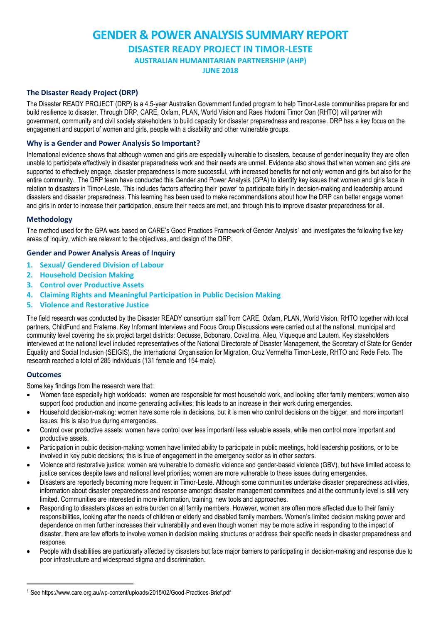# **GENDER & POWER ANALYSIS SUMMARY REPORT DISASTER READY PROJECT IN TIMOR-LESTE AUSTRALIAN HUMANITARIAN PARTNERSHIP (AHP)**

**JUNE 2018**

# **The Disaster Ready Project (DRP)**

The Disaster READY PROJECT (DRP) is a 4.5-year Australian Government funded program to help Timor-Leste communities prepare for and build resilience to disaster. Through DRP, CARE, Oxfam, PLAN, World Vision and Raes Hodomi Timor Oan (RHTO) will partner with government, community and civil society stakeholders to build capacity for disaster preparedness and response. DRP has a key focus on the engagement and support of women and girls, people with a disability and other vulnerable groups.

### **Why is a Gender and Power Analysis So Important?**

International evidence shows that although women and girls are especially vulnerable to disasters, because of gender inequality they are often unable to participate effectively in disaster preparedness work and their needs are unmet. Evidence also shows that when women and girls *are* supported to effectively engage, disaster preparedness is more successful, with increased benefits for not only women and girls but also for the entire community. The DRP team have conducted this Gender and Power Analysis (GPA) to identify key issues that women and girls face in relation to disasters in Timor-Leste. This includes factors affecting their 'power' to participate fairly in decision-making and leadership around disasters and disaster preparedness. This learning has been used to make recommendations about how the DRP can better engage women and girls in order to increase their participation, ensure their needs are met, and through this to improve disaster preparedness for all.

#### **Methodology**

The method used for the GPA was based on CARE's Good Practices Framework of Gender Analysis<sup>1</sup> and investigates the following five key areas of inquiry, which are relevant to the objectives, and design of the DRP.

#### **Gender and Power Analysis Areas of Inquiry**

- **1. Sexual/ Gendered Division of Labour**
- **2. Household Decision Making**
- **3. Control over Productive Assets**
- **4. Claiming Rights and Meaningful Participation in Public Decision Making**
- **5. Violence and Restorative Justice**

The field research was conducted by the Disaster READY consortium staff from CARE, Oxfam, PLAN, World Vision, RHTO together with local partners, ChildFund and Fraterna. Key Informant Interviews and Focus Group Discussions were carried out at the national, municipal and community level covering the six project target districts: Oecusse, Bobonaro, Covalima, Aileu, Viqueque and Lautem. Key stakeholders interviewed at the national level included representatives of the National Directorate of Disaster Management, the Secretary of State for Gender Equality and Social Inclusion (SEIGIS), the International Organisation for Migration, Cruz Vermelha Timor-Leste, RHTO and Rede Feto. The research reached a total of 285 individuals (131 female and 154 male).

#### **Outcomes**

**.** 

Some key findings from the research were that:

- Women face especially high workloads: women are responsible for most household work, and looking after family members; women also support food production and income generating activities; this leads to an increase in their work during emergencies.
- Household decision-making: women have some role in decisions, but it is men who control decisions on the bigger, and more important issues; this is also true during emergencies.
- Control over productive assets: women have control over less important/ less valuable assets, while men control more important and productive assets.
- Participation in public decision-making: women have limited ability to participate in public meetings, hold leadership positions, or to be involved in key pubic decisions; this is true of engagement in the emergency sector as in other sectors.
- Violence and restorative justice: women are vulnerable to domestic violence and gender-based violence (GBV), but have limited access to justice services despite laws and national level priorities; women are more vulnerable to these issues during emergencies.
- Disasters are reportedly becoming more frequent in Timor-Leste. Although some communities undertake disaster preparedness activities, information about disaster preparedness and response amongst disaster management committees and at the community level is still very limited. Communities are interested in more information, training, new tools and approaches.
- Responding to disasters places an extra burden on all family members. However, women are often more affected due to their family responsibilities, looking after the needs of children or elderly and disabled family members. Women's limited decision making power and dependence on men further increases their vulnerability and even though women may be more active in responding to the impact of disaster, there are few efforts to involve women in decision making structures or address their specific needs in disaster preparedness and response.
- People with disabilities are particularly affected by disasters but face major barriers to participating in decision-making and response due to poor infrastructure and widespread stigma and discrimination.

<sup>1</sup> See https://www.care.org.au/wp-content/uploads/2015/02/Good-Practices-Brief.pdf